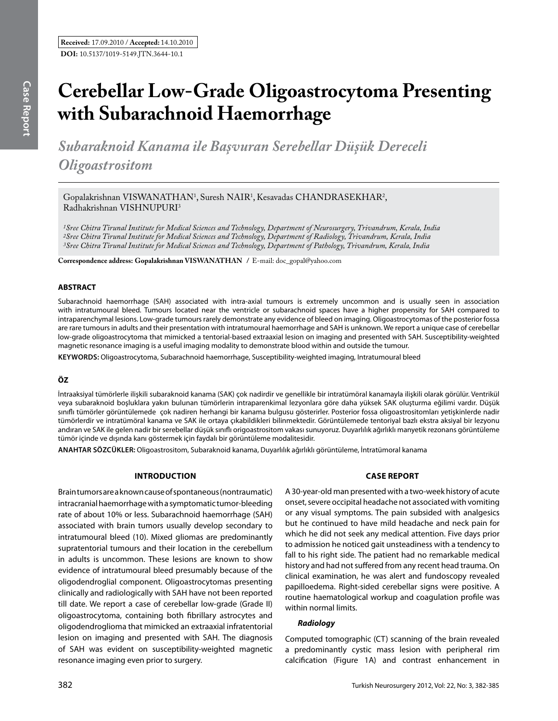# **Cerebellar Low-Grade Oligoastrocytoma Presenting with Subarachnoid Haemorrhage**

*Subaraknoid Kanama ile Başvuran Serebellar Düşük Dereceli Oligoastrositom*

Gopalakrishnan VISWANATHAN<sup>1</sup>, Suresh NAIR<sup>1</sup>, Kesavadas CHANDRASEKHAR<sup>2</sup>,  $Radhakrishnan VISHNUPURI<sup>3</sup>$ 

*1Sree Chitra Tirunal Institute for Medical Sciences and Technology, Department of Neurosurgery, Trivandrum, Kerala, India 2Sree Chitra Tirunal Institute for Medical Sciences and Technology, Department of Radiology, Trivandrum, Kerala, India 3Sree Chitra Tirunal Institute for Medical Sciences and Technology, Department of Pathology, Trivandrum, Kerala, India*

**Correspondence address: Gopalakrishnan Vıswanathan /** E-mail: doc\_gopal@yahoo.com

## **ABSTRACT**

Subarachnoid haemorrhage (SAH) associated with intra-axial tumours is extremely uncommon and is usually seen in association with intratumoural bleed. Tumours located near the ventricle or subarachnoid spaces have a higher propensity for SAH compared to intraparenchymal lesions. Low-grade tumours rarely demonstrate any evidence of bleed on imaging. Oligoastrocytomas of the posterior fossa are rare tumours in adults and their presentation with intratumoural haemorrhage and SAH is unknown. We report a unique case of cerebellar low-grade oligoastrocytoma that mimicked a tentorial-based extraaxial lesion on imaging and presented with SAH. Susceptibility-weighted magnetic resonance imaging is a useful imaging modality to demonstrate blood within and outside the tumour.

**Keywords:** Oligoastrocytoma, Subarachnoid haemorrhage, Susceptibility-weighted imaging, Intratumoural bleed

## **ÖZ**

İntraaksiyal tümörlerle ilişkili subaraknoid kanama (SAK) çok nadirdir ve genellikle bir intratümöral kanamayla ilişkili olarak görülür. Ventrikül veya subaraknoid boşluklara yakın bulunan tümörlerin intraparenkimal lezyonlara göre daha yüksek SAK oluşturma eğilimi vardır. Düşük sınıflı tümörler görüntülemede çok nadiren herhangi bir kanama bulgusu gösterirler. Posterior fossa oligoastrositomları yetişkinlerde nadir tümörlerdir ve intratümöral kanama ve SAK ile ortaya çıkabildikleri bilinmektedir. Görüntülemede tentoriyal bazlı ekstra aksiyal bir lezyonu andıran ve SAK ile gelen nadir bir serebellar düşük sınıflı origoastrositom vakası sunuyoruz. Duyarlılık ağırlıklı manyetik rezonans görüntüleme tümör içinde ve dışında kanı göstermek için faydalı bir görüntüleme modalitesidir.

**ANAHTAR SÖZCÜKLER:** Oligoastrositom, Subaraknoid kanama, Duyarlılık ağırlıklı görüntüleme, İntratümoral kanama

#### **Introduction**

Brain tumors are a known cause of spontaneous (nontraumatic) intracranial haemorrhage with a symptomatic tumor-bleeding rate of about 10% or less. Subarachnoid haemorrhage (SAH) associated with brain tumors usually develop secondary to intratumoural bleed (10). Mixed gliomas are predominantly supratentorial tumours and their location in the cerebellum in adults is uncommon. These lesions are known to show evidence of intratumoural bleed presumably because of the oligodendroglial component. Oligoastrocytomas presenting clinically and radiologically with SAH have not been reported till date. We report a case of cerebellar low-grade (Grade II) oligoastrocytoma, containing both fibrillary astrocytes and oligodendroglioma that mimicked an extraaxial infratentorial lesion on imaging and presented with SAH. The diagnosis of SAH was evident on susceptibility-weighted magnetic resonance imaging even prior to surgery.

## **Case Report**

A 30-year-old man presented with a two-week history of acute onset, severe occipital headache not associated with vomiting or any visual symptoms. The pain subsided with analgesics but he continued to have mild headache and neck pain for which he did not seek any medical attention. Five days prior to admission he noticed gait unsteadiness with a tendency to fall to his right side. The patient had no remarkable medical history and had not suffered from any recent head trauma. On clinical examination, he was alert and fundoscopy revealed papilloedema. Right-sided cerebellar signs were positive. A routine haematological workup and coagulation profile was within normal limits.

## *Radiology*

Computed tomographic (CT) scanning of the brain revealed a predominantly cystic mass lesion with peripheral rim calcification (Figure 1A) and contrast enhancement in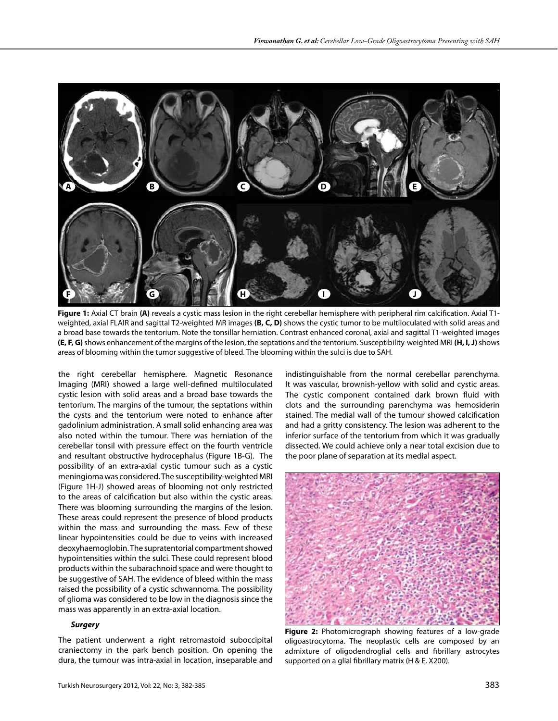

**Figure 1:** Axial CT brain **(A)** reveals a cystic mass lesion in the right cerebellar hemisphere with peripheral rim calcification. Axial T1 weighted, axial FLAIR and sagittal T2-weighted MR images **(B, C, D)** shows the cystic tumor to be multiloculated with solid areas and a broad base towards the tentorium. Note the tonsillar herniation. Contrast enhanced coronal, axial and sagittal T1-weighted images **(E, F, G)** shows enhancement of the margins of the lesion, the septations and the tentorium. Susceptibility-weighted MRI **(H, I, J)** shows areas of blooming within the tumor suggestive of bleed. The blooming within the sulci is due to SAH.

the right cerebellar hemisphere. Magnetic Resonance Imaging (MRI) showed a large well-defined multiloculated cystic lesion with solid areas and a broad base towards the tentorium. The margins of the tumour, the septations within the cysts and the tentorium were noted to enhance after gadolinium administration. A small solid enhancing area was also noted within the tumour. There was herniation of the cerebellar tonsil with pressure effect on the fourth ventricle and resultant obstructive hydrocephalus (Figure 1B-G). The possibility of an extra-axial cystic tumour such as a cystic meningioma was considered. The susceptibility-weighted MRI (Figure 1H-J) showed areas of blooming not only restricted to the areas of calcification but also within the cystic areas. There was blooming surrounding the margins of the lesion. These areas could represent the presence of blood products within the mass and surrounding the mass. Few of these linear hypointensities could be due to veins with increased deoxyhaemoglobin. The supratentorial compartment showed hypointensities within the sulci. These could represent blood products within the subarachnoid space and were thought to be suggestive of SAH. The evidence of bleed within the mass raised the possibility of a cystic schwannoma. The possibility of glioma was considered to be low in the diagnosis since the mass was apparently in an extra-axial location.

## *Surgery*

The patient underwent a right retromastoid suboccipital craniectomy in the park bench position. On opening the dura, the tumour was intra-axial in location, inseparable and indistinguishable from the normal cerebellar parenchyma. It was vascular, brownish-yellow with solid and cystic areas. The cystic component contained dark brown fluid with clots and the surrounding parenchyma was hemosiderin stained. The medial wall of the tumour showed calcification and had a gritty consistency. The lesion was adherent to the inferior surface of the tentorium from which it was gradually dissected. We could achieve only a near total excision due to the poor plane of separation at its medial aspect.



**Figure 2:** Photomicrograph showing features of a low-grade oligoastrocytoma. The neoplastic cells are composed by an admixture of oligodendroglial cells and fibrillary astrocytes supported on a glial fibrillary matrix (H & E, X200).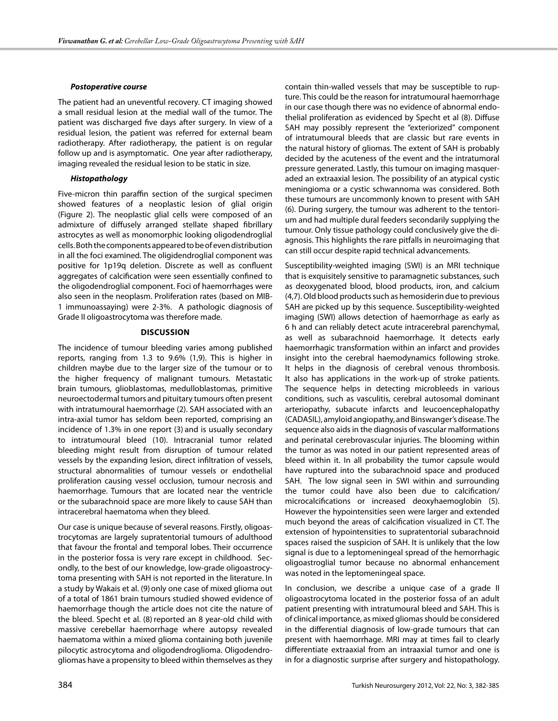#### *Postoperative course*

The patient had an uneventful recovery. CT imaging showed a small residual lesion at the medial wall of the tumor. The patient was discharged five days after surgery. In view of a residual lesion, the patient was referred for external beam radiotherapy. After radiotherapy, the patient is on regular follow up and is asymptomatic. One year after radiotherapy, imaging revealed the residual lesion to be static in size.

## *Histopathology*

Five-micron thin paraffin section of the surgical specimen showed features of a neoplastic lesion of glial origin (Figure 2). The neoplastic glial cells were composed of an admixture of diffusely arranged stellate shaped fibrillary astrocytes as well as monomorphic looking oligodendroglial cells. Both the components appeared to be of even distribution in all the foci examined. The oligidendroglial component was positive for 1p19q deletion. Discrete as well as confluent aggregates of calcification were seen essentially confined to the oligodendroglial component. Foci of haemorrhages were also seen in the neoplasm. Proliferation rates (based on MIB-1 immunoassaying) were 2-3%. A pathologic diagnosis of Grade II oligoastrocytoma was therefore made.

## **Discussion**

The incidence of tumour bleeding varies among published reports, ranging from 1.3 to 9.6% (1,9). This is higher in children maybe due to the larger size of the tumour or to the higher frequency of malignant tumours. Metastatic brain tumours, glioblastomas, medulloblastomas, primitive neuroectodermal tumors and pituitary tumours often present with intratumoural haemorrhage (2). SAH associated with an intra-axial tumor has seldom been reported, comprising an incidence of 1.3% in one report (3) and is usually secondary to intratumoural bleed (10). Intracranial tumor related bleeding might result from disruption of tumour related vessels by the expanding lesion, direct infiltration of vessels, structural abnormalities of tumour vessels or endothelial proliferation causing vessel occlusion, tumour necrosis and haemorrhage. Tumours that are located near the ventricle or the subarachnoid space are more likely to cause SAH than intracerebral haematoma when they bleed.

Our case is unique because of several reasons. Firstly, oligoastrocytomas are largely supratentorial tumours of adulthood that favour the frontal and temporal lobes. Their occurrence in the posterior fossa is very rare except in childhood. Secondly, to the best of our knowledge, low-grade oligoastrocytoma presenting with SAH is not reported in the literature. In a study by Wakais et al. (9) only one case of mixed glioma out of a total of 1861 brain tumours studied showed evidence of haemorrhage though the article does not cite the nature of the bleed. Specht et al. (8) reported an 8 year-old child with massive cerebellar haemorrhage where autopsy revealed haematoma within a mixed glioma containing both juvenile pilocytic astrocytoma and oligodendroglioma. Oligodendrogliomas have a propensity to bleed within themselves as they contain thin-walled vessels that may be susceptible to rupture. This could be the reason for intratumoural haemorrhage in our case though there was no evidence of abnormal endothelial proliferation as evidenced by Specht et al (8). Diffuse SAH may possibly represent the "exteriorized" component of intratumoural bleeds that are classic but rare events in the natural history of gliomas. The extent of SAH is probably decided by the acuteness of the event and the intratumoral pressure generated. Lastly, this tumour on imaging masqueraded an extraaxial lesion. The possibility of an atypical cystic meningioma or a cystic schwannoma was considered. Both these tumours are uncommonly known to present with SAH (6). During surgery, the tumour was adherent to the tentorium and had multiple dural feeders secondarily supplying the tumour. Only tissue pathology could conclusively give the diagnosis. This highlights the rare pitfalls in neuroimaging that can still occur despite rapid technical advancements.

Susceptibility-weighted imaging (SWI) is an MRI technique that is exquisitely sensitive to paramagnetic substances, such as deoxygenated blood, blood products, iron, and calcium (4,7). Old blood products such as hemosiderin due to previous SAH are picked up by this sequence. Susceptibility-weighted imaging (SWI) allows detection of haemorrhage as early as 6 h and can reliably detect acute intracerebral parenchymal, as well as subarachnoid haemorrhage. It detects early haemorrhagic transformation within an infarct and provides insight into the cerebral haemodynamics following stroke. It helps in the diagnosis of cerebral venous thrombosis. It also has applications in the work-up of stroke patients. The sequence helps in detecting microbleeds in various conditions, such as vasculitis, cerebral autosomal dominant arteriopathy, subacute infarcts and leucoencephalopathy (CADASIL), amyloid angiopathy, and Binswanger's disease. The sequence also aids in the diagnosis of vascular malformations and perinatal cerebrovascular injuries. The blooming within the tumor as was noted in our patient represented areas of bleed within it. In all probability the tumor capsule would have ruptured into the subarachnoid space and produced SAH. The low signal seen in SWI within and surrounding the tumor could have also been due to calcification/ microcalcifications or increased deoxyhaemoglobin (5). However the hypointensities seen were larger and extended much beyond the areas of calcification visualized in CT. The extension of hypointensities to supratentorial subarachnoid spaces raised the suspicion of SAH. It is unlikely that the low signal is due to a leptomeningeal spread of the hemorrhagic oligoastroglial tumor because no abnormal enhancement was noted in the leptomeningeal space.

In conclusion, we describe a unique case of a grade II oligoastrocytoma located in the posterior fossa of an adult patient presenting with intratumoural bleed and SAH. This is of clinical importance, as mixed gliomas should be considered in the differential diagnosis of low-grade tumours that can present with haemorrhage. MRI may at times fail to clearly differentiate extraaxial from an intraaxial tumor and one is in for a diagnostic surprise after surgery and histopathology.